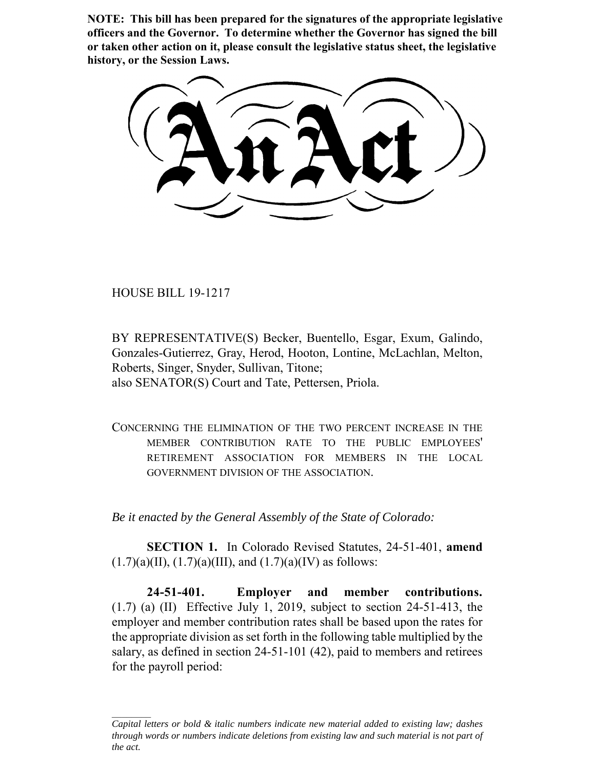**NOTE: This bill has been prepared for the signatures of the appropriate legislative officers and the Governor. To determine whether the Governor has signed the bill or taken other action on it, please consult the legislative status sheet, the legislative history, or the Session Laws.**

HOUSE BILL 19-1217

BY REPRESENTATIVE(S) Becker, Buentello, Esgar, Exum, Galindo, Gonzales-Gutierrez, Gray, Herod, Hooton, Lontine, McLachlan, Melton, Roberts, Singer, Snyder, Sullivan, Titone; also SENATOR(S) Court and Tate, Pettersen, Priola.

CONCERNING THE ELIMINATION OF THE TWO PERCENT INCREASE IN THE MEMBER CONTRIBUTION RATE TO THE PUBLIC EMPLOYEES' RETIREMENT ASSOCIATION FOR MEMBERS IN THE LOCAL GOVERNMENT DIVISION OF THE ASSOCIATION.

*Be it enacted by the General Assembly of the State of Colorado:*

**SECTION 1.** In Colorado Revised Statutes, 24-51-401, **amend**  $(1.7)(a)(II)$ ,  $(1.7)(a)(III)$ , and  $(1.7)(a)(IV)$  as follows:

**24-51-401. Employer and member contributions.**  $(1.7)$  (a)  $(II)$  Effective July 1, 2019, subject to section 24-51-413, the employer and member contribution rates shall be based upon the rates for the appropriate division as set forth in the following table multiplied by the salary, as defined in section 24-51-101 (42), paid to members and retirees for the payroll period:

*Capital letters or bold & italic numbers indicate new material added to existing law; dashes through words or numbers indicate deletions from existing law and such material is not part of the act.*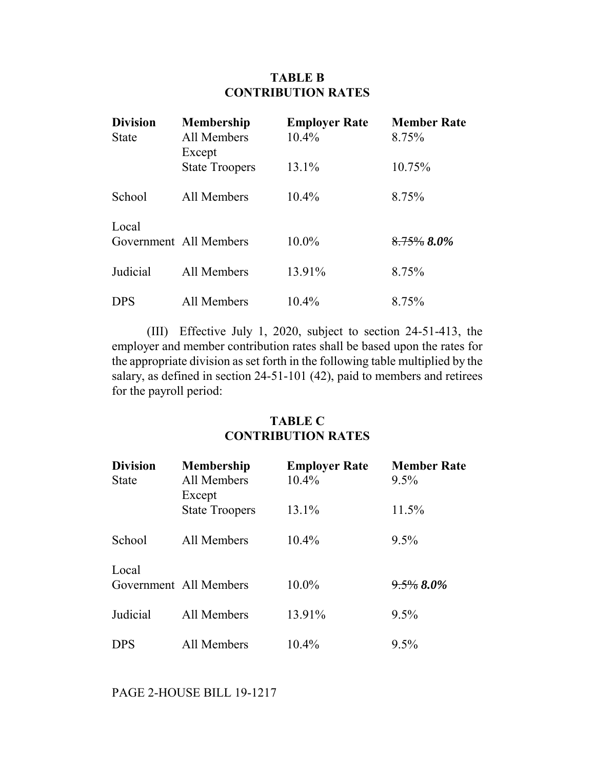## **TABLE B CONTRIBUTION RATES**

| <b>Division</b><br><b>State</b> | <b>Membership</b><br>All Members<br>Except | <b>Employer Rate</b><br>10.4% | <b>Member Rate</b><br>8.75% |
|---------------------------------|--------------------------------------------|-------------------------------|-----------------------------|
|                                 | <b>State Troopers</b>                      | 13.1%                         | 10.75%                      |
| School                          | All Members                                | $10.4\%$                      | 8.75%                       |
| Local                           | Government All Members                     | 10.0%                         | 8.75% 8.0%                  |
| Judicial                        | All Members                                | 13.91%                        | 8.75%                       |
| <b>DPS</b>                      | All Members                                | 10.4%                         | 8.75%                       |

(III) Effective July 1, 2020, subject to section 24-51-413, the employer and member contribution rates shall be based upon the rates for the appropriate division as set forth in the following table multiplied by the salary, as defined in section 24-51-101 (42), paid to members and retirees for the payroll period:

## **TABLE C CONTRIBUTION RATES**

| <b>Division</b><br><b>State</b> | <b>Membership</b><br>All Members<br>Except | <b>Employer Rate</b><br>10.4% | <b>Member Rate</b><br>9.5% |
|---------------------------------|--------------------------------------------|-------------------------------|----------------------------|
|                                 | <b>State Troopers</b>                      | 13.1%                         | 11.5%                      |
| School                          | All Members                                | $10.4\%$                      | $9.5\%$                    |
| Local                           | Government All Members                     | 10.0%                         | $9.5\%$ 8.0%               |
| Judicial                        | All Members                                | 13.91%                        | 9.5%                       |
| <b>DPS</b>                      | All Members                                | 10.4%                         | 9.5%                       |

PAGE 2-HOUSE BILL 19-1217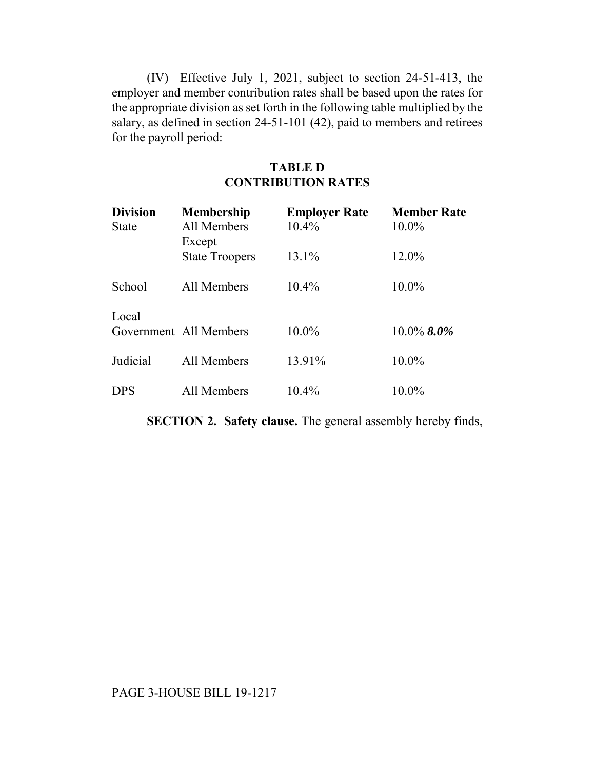(IV) Effective July 1, 2021, subject to section 24-51-413, the employer and member contribution rates shall be based upon the rates for the appropriate division as set forth in the following table multiplied by the salary, as defined in section 24-51-101 (42), paid to members and retirees for the payroll period:

## **TABLE D CONTRIBUTION RATES**

| <b>Division</b><br><b>State</b> | <b>Membership</b><br>All Members<br>Except | <b>Employer Rate</b><br>10.4% | <b>Member Rate</b><br>10.0% |
|---------------------------------|--------------------------------------------|-------------------------------|-----------------------------|
|                                 | <b>State Troopers</b>                      | 13.1%                         | 12.0%                       |
| School                          | All Members                                | $10.4\%$                      | $10.0\%$                    |
| Local                           | Government All Members                     | 10.0%                         | $10.0\%$ 8.0%               |
| Judicial                        | All Members                                | 13.91%                        | 10.0%                       |
| <b>DPS</b>                      | All Members                                | 10.4%                         | $10.0\%$                    |

**SECTION 2. Safety clause.** The general assembly hereby finds,

## PAGE 3-HOUSE BILL 19-1217